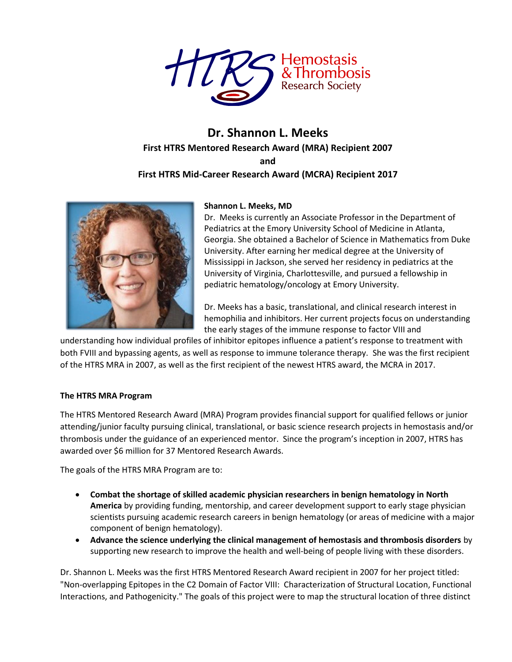

# **Dr. Shannon L. Meeks First HTRS Mentored Research Award (MRA) Recipient 2007 and First HTRS Mid-Career Research Award (MCRA) Recipient 2017**



### **Shannon L. Meeks, MD**

Dr. Meeks is currently an Associate Professor in the Department of Pediatrics at the Emory University School of Medicine in Atlanta, Georgia. She obtained a Bachelor of Science in Mathematics from Duke University. After earning her medical degree at the University of Mississippi in Jackson, she served her residency in pediatrics at the University of Virginia, Charlottesville, and pursued a fellowship in pediatric hematology/oncology at Emory University.

Dr. Meeks has a basic, translational, and clinical research interest in hemophilia and inhibitors. Her current projects focus on understanding the early stages of the immune response to factor VIII and

understanding how individual profiles of inhibitor epitopes influence a patient's response to treatment with both FVIII and bypassing agents, as well as response to immune tolerance therapy. She was the first recipient of the HTRS MRA in 2007, as well as the first recipient of the newest HTRS award, the MCRA in 2017.

## **The HTRS MRA Program**

The HTRS Mentored Research Award (MRA) Program provides financial support for qualified fellows or junior attending/junior faculty pursuing clinical, translational, or basic science research projects in hemostasis and/or thrombosis under the guidance of an experienced mentor. Since the program's inception in 2007, HTRS has awarded over \$6 million for 37 Mentored Research Awards.

The goals of the HTRS MRA Program are to:

- **Combat the shortage of skilled academic physician researchers in benign hematology in North America** by providing funding, mentorship, and career development support to early stage physician scientists pursuing academic research careers in benign hematology (or areas of medicine with a major component of benign hematology).
- **Advance the science underlying the clinical management of hemostasis and thrombosis disorders** by supporting new research to improve the health and well-being of people living with these disorders.

Dr. Shannon L. Meeks was the first HTRS Mentored Research Award recipient in 2007 for her project titled: "Non-overlapping Epitopes in the C2 Domain of Factor VIII: Characterization of Structural Location, Functional Interactions, and Pathogenicity." The goals of this project were to map the structural location of three distinct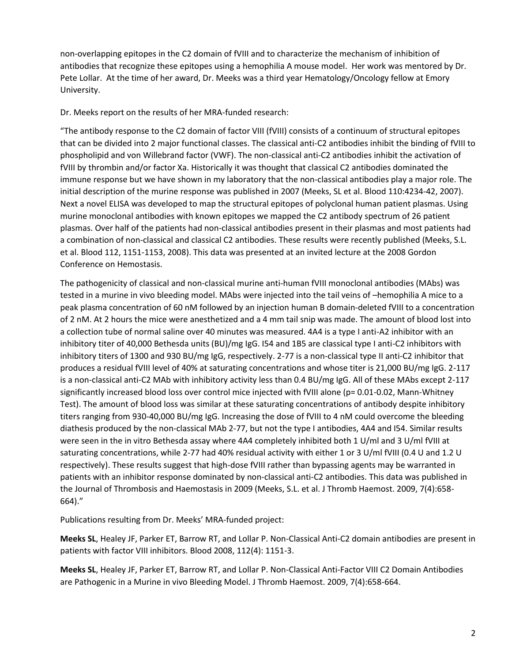non-overlapping epitopes in the C2 domain of fVIII and to characterize the mechanism of inhibition of antibodies that recognize these epitopes using a hemophilia A mouse model. Her work was mentored by Dr. Pete Lollar. At the time of her award, Dr. Meeks was a third year Hematology/Oncology fellow at Emory University.

Dr. Meeks report on the results of her MRA-funded research:

"The antibody response to the C2 domain of factor VIII (fVIII) consists of a continuum of structural epitopes that can be divided into 2 major functional classes. The classical anti-C2 antibodies inhibit the binding of fVIII to phospholipid and von Willebrand factor (VWF). The non-classical anti-C2 antibodies inhibit the activation of fVIII by thrombin and/or factor Xa. Historically it was thought that classical C2 antibodies dominated the immune response but we have shown in my laboratory that the non-classical antibodies play a major role. The initial description of the murine response was published in 2007 (Meeks, SL et al. Blood 110:4234-42, 2007). Next a novel ELISA was developed to map the structural epitopes of polyclonal human patient plasmas. Using murine monoclonal antibodies with known epitopes we mapped the C2 antibody spectrum of 26 patient plasmas. Over half of the patients had non-classical antibodies present in their plasmas and most patients had a combination of non-classical and classical C2 antibodies. These results were recently published (Meeks, S.L. et al. Blood 112, 1151-1153, 2008). This data was presented at an invited lecture at the 2008 Gordon Conference on Hemostasis.

The pathogenicity of classical and non-classical murine anti-human fVIII monoclonal antibodies (MAbs) was tested in a murine in vivo bleeding model. MAbs were injected into the tail veins of –hemophilia A mice to a peak plasma concentration of 60 nM followed by an injection human B domain-deleted fVIII to a concentration of 2 nM. At 2 hours the mice were anesthetized and a 4 mm tail snip was made. The amount of blood lost into a collection tube of normal saline over 40 minutes was measured. 4A4 is a type I anti-A2 inhibitor with an inhibitory titer of 40,000 Bethesda units (BU)/mg IgG. I54 and 1B5 are classical type I anti-C2 inhibitors with inhibitory titers of 1300 and 930 BU/mg IgG, respectively. 2-77 is a non-classical type II anti-C2 inhibitor that produces a residual fVIII level of 40% at saturating concentrations and whose titer is 21,000 BU/mg IgG. 2-117 is a non-classical anti-C2 MAb with inhibitory activity less than 0.4 BU/mg IgG. All of these MAbs except 2-117 significantly increased blood loss over control mice injected with fVIII alone (p= 0.01-0.02, Mann-Whitney Test). The amount of blood loss was similar at these saturating concentrations of antibody despite inhibitory titers ranging from 930-40,000 BU/mg IgG. Increasing the dose of fVIII to 4 nM could overcome the bleeding diathesis produced by the non-classical MAb 2-77, but not the type I antibodies, 4A4 and I54. Similar results were seen in the in vitro Bethesda assay where 4A4 completely inhibited both 1 U/ml and 3 U/ml fVIII at saturating concentrations, while 2-77 had 40% residual activity with either 1 or 3 U/ml fVIII (0.4 U and 1.2 U respectively). These results suggest that high-dose fVIII rather than bypassing agents may be warranted in patients with an inhibitor response dominated by non-classical anti-C2 antibodies. This data was published in the Journal of Thrombosis and Haemostasis in 2009 (Meeks, S.L. et al. J Thromb Haemost. 2009, 7(4):658- 664)."

Publications resulting from Dr. Meeks' MRA-funded project:

**Meeks SL**, Healey JF, Parker ET, Barrow RT, and Lollar P. Non-Classical Anti-C2 domain antibodies are present in patients with factor VIII inhibitors. Blood 2008, 112(4): 1151-3.

**Meeks SL**, Healey JF, Parker ET, Barrow RT, and Lollar P. Non-Classical Anti-Factor VIII C2 Domain Antibodies are Pathogenic in a Murine in vivo Bleeding Model. J Thromb Haemost. 2009, 7(4):658-664.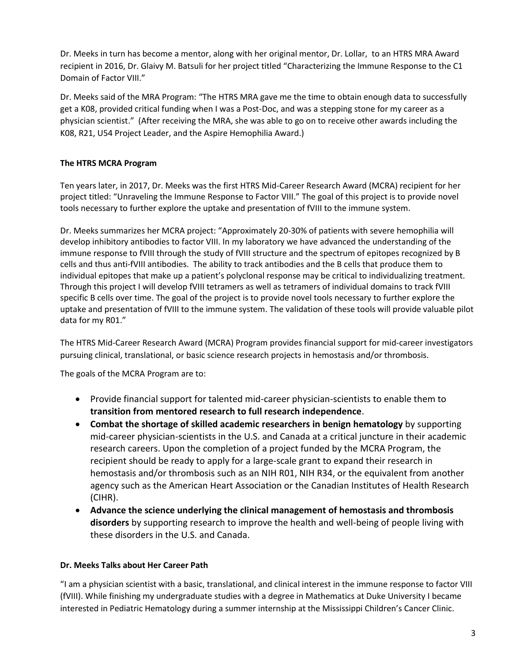Dr. Meeks in turn has become a mentor, along with her original mentor, Dr. Lollar, to an HTRS MRA Award recipient in 2016, Dr. Glaivy M. Batsuli for her project titled "Characterizing the Immune Response to the C1 Domain of Factor VIII."

Dr. Meeks said of the MRA Program: "The HTRS MRA gave me the time to obtain enough data to successfully get a K08, provided critical funding when I was a Post-Doc, and was a stepping stone for my career as a physician scientist." (After receiving the MRA, she was able to go on to receive other awards including the K08, R21, U54 Project Leader, and the Aspire Hemophilia Award.)

## **The HTRS MCRA Program**

Ten years later, in 2017, Dr. Meeks was the first HTRS Mid-Career Research Award (MCRA) recipient for her project titled: "Unraveling the Immune Response to Factor VIII." The goal of this project is to provide novel tools necessary to further explore the uptake and presentation of fVIII to the immune system.

Dr. Meeks summarizes her MCRA project: "Approximately 20-30% of patients with severe hemophilia will develop inhibitory antibodies to factor VIII. In my laboratory we have advanced the understanding of the immune response to fVIII through the study of fVIII structure and the spectrum of epitopes recognized by B cells and thus anti-fVIII antibodies. The ability to track antibodies and the B cells that produce them to individual epitopes that make up a patient's polyclonal response may be critical to individualizing treatment. Through this project I will develop fVIII tetramers as well as tetramers of individual domains to track fVIII specific B cells over time. The goal of the project is to provide novel tools necessary to further explore the uptake and presentation of fVIII to the immune system. The validation of these tools will provide valuable pilot data for my R01."

The HTRS Mid-Career Research Award (MCRA) Program provides financial support for mid-career investigators pursuing clinical, translational, or basic science research projects in hemostasis and/or thrombosis.

The goals of the MCRA Program are to:

- Provide financial support for talented mid-career physician-scientists to enable them to **transition from mentored research to full research independence**.
- **Combat the shortage of skilled academic researchers in benign hematology** by supporting mid-career physician-scientists in the U.S. and Canada at a critical juncture in their academic research careers. Upon the completion of a project funded by the MCRA Program, the recipient should be ready to apply for a large-scale grant to expand their research in hemostasis and/or thrombosis such as an NIH R01, NIH R34, or the equivalent from another agency such as the American Heart Association or the Canadian Institutes of Health Research (CIHR).
- **Advance the science underlying the clinical management of hemostasis and thrombosis disorders** by supporting research to improve the health and well-being of people living with these disorders in the U.S. and Canada.

## **Dr. Meeks Talks about Her Career Path**

"I am a physician scientist with a basic, translational, and clinical interest in the immune response to factor VIII (fVIII). While finishing my undergraduate studies with a degree in Mathematics at Duke University I became interested in Pediatric Hematology during a summer internship at the Mississippi Children's Cancer Clinic.